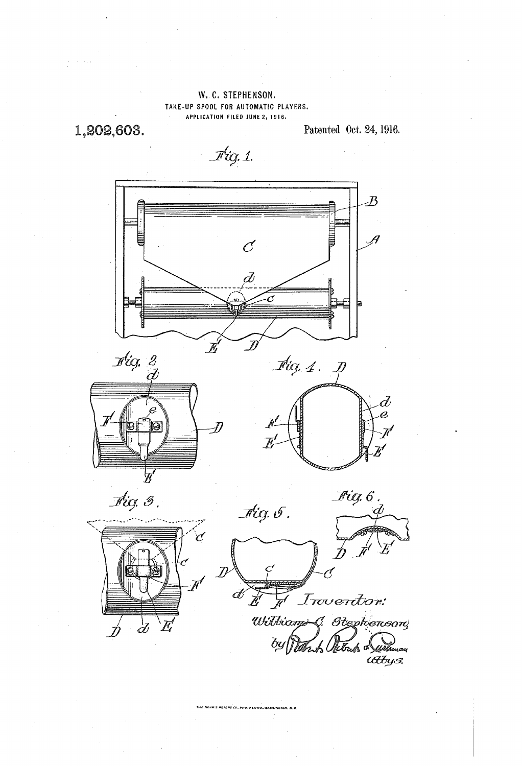## W. C. STEPHENSON. TAKE-UP SPOOL FOR AUTOMATIC PLAYERS. APPLICATION FILED JUNE 2, 1916.

1,202,603.

Patented Oct. 24, 1916.

 $\mathcal{F}$ ig. 1.



.<br>IRRIS PETERS CO., PHOTO-LITHO, WASHINGTON, D. C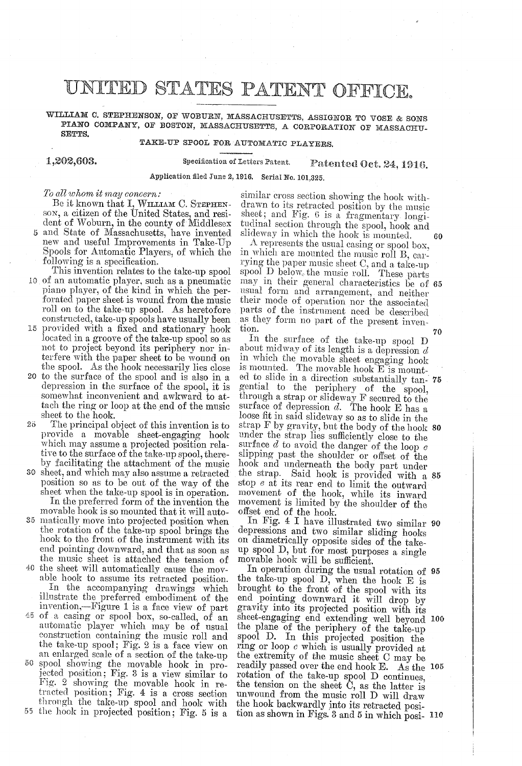# UNITED STATES PATENT OFFICE,

WILLIAM C. STEPHENSON, OF WOBURN, MASSACHUSETTS, ASSIGNOR TO VOSE & SONS PIANO COMPANY, OF BOSTON, MASSACHUSETTS, A CORPORATION OF MASSACHU-SETTES.

### TAKE-UP SPOOL FOR AUTOMATIC PLAYERS.

1,202,603.

Specification of letters Patent. Patented Oct. 24, 1916.

Application filed June 2, 1916, Serial No. 101,325.

To all whom it may concern.<br>Be it known that I, WILLIAM C. STEPHEN-<br>SON, a citizen of the United States, and resi-<br>dent of Woburn, in the county of Middlesex

- 5 and State of Massachusetts, have invented
- new and useful Improvements in Take-Up<br>Spools for Automatic Players, of which the<br>following is a specification.<br>This invention relates to the take-up spool<br>10 of an automatic player, such as a pneumatic<br>piano player, of th
- 15 provided with a fixed and stationary hook<br>located in a groove of the take-up spool so as not to project beyond its periphery nor in-<br>terfere with the paper sheet to be wound on the spool. As the hook necessarily lies close
- 20 to the surface of the spool and is also in a depression in the surface of the spool, it is somewhat inconvenient and awkward to attach the ring or loop at the end of the music sheet to the hook.<br>The principal object of this invention is to
- 25 provide a movable sheet-engaging hook which may assume a projected position relative to the surface of the take-up spool, there
- by facilitating the attachment of the music<br>30 sheet, and which may also assume a retracted position so as to be out of the way of the sheet when the take-up spool is in operation.<br>In the preferred form of the invention the
- movable hook is so mounted that it will auto matically move into projected position when the rotation of the take-up spool brings the hook to the front of the instrument with its end pointing downward, and that as soon as the music sheet is attached the tension of
- 40 the sheet will automatically cause the mov able hook to assume its retracted position. In the accompanying drawings which illustrate the preferred embodiment of the invention,-Figure 1 is a face view of part 45 of a casing or spool box, so-called, of an
- automatic player which may be of usual the take-up spool; Fig. 2 is a face view on<br>an enlarged scale of a section of the take-up
- spool showing the movable hook in projected position; Fig. 3 is a view similar to  $50$ Fig. 2 showing the movable hook in re tracted position; Fig. 4 is a cross section through the take-up spool and hook with

55 the hook in projected position: Fig. 5 is a

similar cross section showing the hook with-<br>drawn to its retracted position by the music<br>sheet; and Fig. 6 is a fragmentary longi-<br>tudinal section through the spool, hook and<br>slideway in which the hook is mounted.<br>A repr

in which are mounted the music roll B, carring the paper music sheet C, and a take-up spool D below, the music roll. These parts may in their general characteristics be of usual form and arrangement, and neither their mod parts of the instrument need be described as they form no part of the present invenmay in their general characteristics be of 65 70

In the surface of the take-up spool D about midway of its length is a depression  $d$  in which the movable sheet engaging hook is mounted. The movable hook E is mounted to the periphery of the spool, through a strap or slideway F secured to the surface of depression  $d$ . The hook E has a loose fit in said slideway so as to slide in the  $\sup_{\theta}$  F by gravity, but the body of the hook 80 under the strap lies sufficiently close to the surface  $d$  to avoid the danger of the loop  $c$  slipping past the shoulder or offset of the hook and underneath the body part under<br>the strap. Said hook is provided with a 85 stop e at its rear end to limit the outward movement of the hook, while its inward movement is limited by the shoulder of the offset end of the hook. ed to slide in a direction substantially tan- 75

depressions and two similar sliding hooks on diametrically opposite sides of the take-<br>up spool D, but for most purposes a single movable hook will be sufficient. In Fig. 4 I have illustrated two similar 90

In operation during the usual rotation of<br>the take-up spool D, when the hook E is<br>brought to the front of the spool with its<br>end pointing downward it will drop by<br>gravity into its projected position with its<br>sheet-engagin the extremity of the music sheet C may be readily passed over the end hook E. As the rotation of the take-up spool D continues, the tension on the sheet C, as the latter is unwound from the music roll D will draw<br>the hook backwardly into its retracted posithe hook backwardly into its retracted position as shown in Figs. 3 and 5 in which posi- 110 In operation during the usual rotation of 95 00 readily passed over the end hook E. As the 105

60